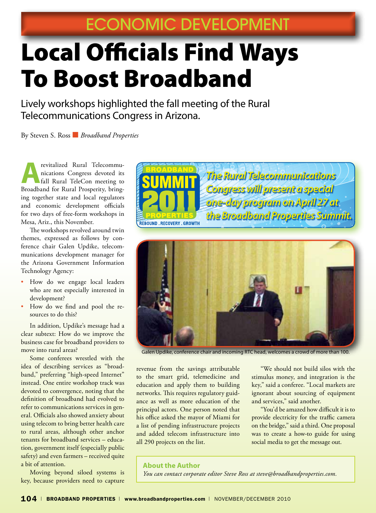# Local Officials Find Ways To Boost Broadband

Lively workshops highlighted the fall meeting of the Rural Telecommunications Congress in Arizona.

By Steven S. Ross ■ *Broadband Properties*

**Arevitalized Rural Telecommunications Congress devoted its<br>fall Rural TeleCon meeting to<br>Proofband for Rural Programming being** nications Congress devoted its Broadband for Rural Prosperity, bringing together state and local regulators and economic development officials for two days of free-form workshops in Mesa, Ariz., this November.

The workshops revolved around twin themes, expressed as follows by conference chair Galen Updike, telecommunications development manager for the Arizona Government Information Technology Agency:

- How do we engage local leaders who are not especially interested in development?
- How do we find and pool the resources to do this?

In addition, Updike's message had a clear subtext: How do we improve the business case for broadband providers to move into rural areas?

Some conferees wrestled with the idea of describing services as "broadband," preferring "high-speed Internet" instead. One entire workshop track was devoted to convergence, noting that the definition of broadband had evolved to refer to communications services in general. Officials also showed anxiety about using telecom to bring better health care to rural areas, although other anchor tenants for broadband services – education, government itself (especially public safety) and even farmers – received quite a bit of attention.

Moving beyond siloed systems is key, because providers need to capture





Galen Updike, conference chair and incoming RTC head, welcomes a crowd of more than 100.

revenue from the savings attributable to the smart grid, telemedicine and education and apply them to building networks. This requires regulatory guidance as well as more education of the principal actors. One person noted that his office asked the mayor of Miami for a list of pending infrastructure projects and added telecom infrastructure into all 290 projects on the list.

"We should not build silos with the stimulus money, and integration is the key," said a conferee. "Local markets are ignorant about sourcing of equipment and services," said another.

"You'd be amazed how difficult it is to provide electricity for the traffic camera on the bridge," said a third. One proposal was to create a how-to guide for using social media to get the message out.

#### **About the Author**

*You can contact corporate editor Steve Ross at steve@broadbandproperties.com.*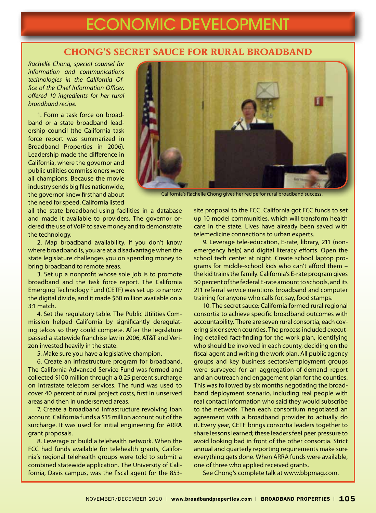## ECONOMIC DEVELOPMENT

#### **chong's Secret Sauce for Rural Broadband**

*Rachelle Chong, special counsel for information and communications technologies in the California Office of the Chief Information Officer, offered 10 ingredients for her rural broadband recipe.* 

1. Form a task force on broadband or a state broadband leadership council (the California task force report was summarized in Broadband Properties in 2006). Leadership made the difference in California, where the governor and public utilities commissioners were all champions. Because the movie industry sends big files nationwide, the governor knew firsthand about the need for speed. California listed

all the state broadband-using facilities in a database and made it available to providers. The governor ordered the use of VoIP to save money and to demonstrate the technology.

2. Map broadband availability. If you don't know where broadband is, you are at a disadvantage when the state legislature challenges you on spending money to bring broadband to remote areas.

3. Set up a nonprofit whose sole job is to promote broadband and the task force report. The California Emerging Technology Fund (CETF) was set up to narrow the digital divide, and it made \$60 million available on a 3:1 match.

4. Set the regulatory table. The Public Utilities Commission helped California by significantly deregulating telcos so they could compete. After the legislature passed a statewide franchise law in 2006, AT&T and Verizon invested heavily in the state.

5. Make sure you have a legislative champion.

6. Create an infrastructure program for broadband. The California Advanced Service Fund was formed and collected \$100 million through a 0.25 percent surcharge on intrastate telecom services. The fund was used to cover 40 percent of rural project costs, first in unserved areas and then in underserved areas.

7. Create a broadband infrastructure revolving loan account. California funds a \$15 million account out of the surcharge. It was used for initial engineering for ARRA grant proposals.

8. Leverage or build a telehealth network. When the FCC had funds available for telehealth grants, California's regional telehealth groups were told to submit a combined statewide application. The University of California, Davis campus, was the fiscal agent for the 853-



California's Rachelle Chong gives her recipe for rural broadband success.

site proposal to the FCC. California got FCC funds to set up 10 model communities, which will transform health care in the state. Lives have already been saved with telemedicine connections to urban experts.

9. Leverage tele-education, E-rate, library, 211 (nonemergency help) and digital literacy efforts. Open the school tech center at night. Create school laptop programs for middle-school kids who can't afford them – the kid trains the family. California's E-rate program gives 50 percent of the federal E-rate amount to schools, and its 211 referral service mentions broadband and computer training for anyone who calls for, say, food stamps.

10. The secret sauce: California formed rural regional consortia to achieve specific broadband outcomes with accountability. There are seven rural consortia, each covering six or seven counties. The process included executing detailed fact-finding for the work plan, identifying who should be involved in each county, deciding on the fiscal agent and writing the work plan. All public agency groups and key business sectors/employment groups were surveyed for an aggregation-of-demand report and an outreach and engagement plan for the counties. This was followed by six months negotiating the broadband deployment scenario, including real people with real contact information who said they would subscribe to the network. Then each consortium negotiated an agreement with a broadband provider to actually do it. Every year, CETF brings consortia leaders together to share lessons learned; these leaders feel peer pressure to avoid looking bad in front of the other consortia. Strict annual and quarterly reporting requirements make sure everything gets done. When ARRA funds were available, one of three who applied received grants.

See Chong's complete talk at www.bbpmag.com.